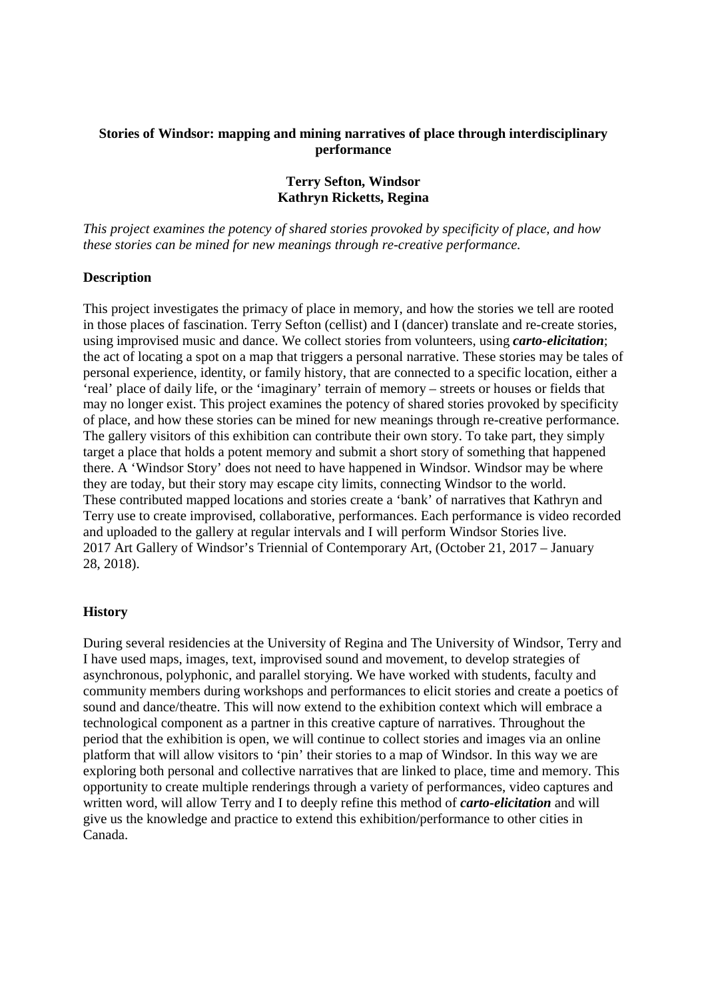### **Stories of Windsor: mapping and mining narratives of place through interdisciplinary performance**

# **Terry Sefton, Windsor Kathryn Ricketts, Regina**

*This project examines the potency of shared stories provoked by specificity of place, and how these stories can be mined for new meanings through re-creative performance.* 

### **Description**

This project investigates the primacy of place in memory, and how the stories we tell are rooted in those places of fascination. Terry Sefton (cellist) and I (dancer) translate and re-create stories, using improvised music and dance. We collect stories from volunteers, using *carto-elicitation*; the act of locating a spot on a map that triggers a personal narrative. These stories may be tales of personal experience, identity, or family history, that are connected to a specific location, either a 'real' place of daily life, or the 'imaginary' terrain of memory – streets or houses or fields that may no longer exist. This project examines the potency of shared stories provoked by specificity of place, and how these stories can be mined for new meanings through re-creative performance. The gallery visitors of this exhibition can contribute their own story. To take part, they simply target a place that holds a potent memory and submit a short story of something that happened there. A 'Windsor Story' does not need to have happened in Windsor. Windsor may be where they are today, but their story may escape city limits, connecting Windsor to the world. These contributed mapped locations and stories create a 'bank' of narratives that Kathryn and Terry use to create improvised, collaborative, performances. Each performance is video recorded and uploaded to the gallery at regular intervals and I will perform Windsor Stories live. 2017 Art Gallery of Windsor's Triennial of Contemporary Art, (October 21, 2017 – January 28, 2018).

#### **History**

During several residencies at the University of Regina and The University of Windsor, Terry and I have used maps, images, text, improvised sound and movement, to develop strategies of asynchronous, polyphonic, and parallel storying. We have worked with students, faculty and community members during workshops and performances to elicit stories and create a poetics of sound and dance/theatre. This will now extend to the exhibition context which will embrace a technological component as a partner in this creative capture of narratives. Throughout the period that the exhibition is open, we will continue to collect stories and images via an online platform that will allow visitors to 'pin' their stories to a map of Windsor. In this way we are exploring both personal and collective narratives that are linked to place, time and memory. This opportunity to create multiple renderings through a variety of performances, video captures and written word, will allow Terry and I to deeply refine this method of *carto-elicitation* and will give us the knowledge and practice to extend this exhibition/performance to other cities in Canada.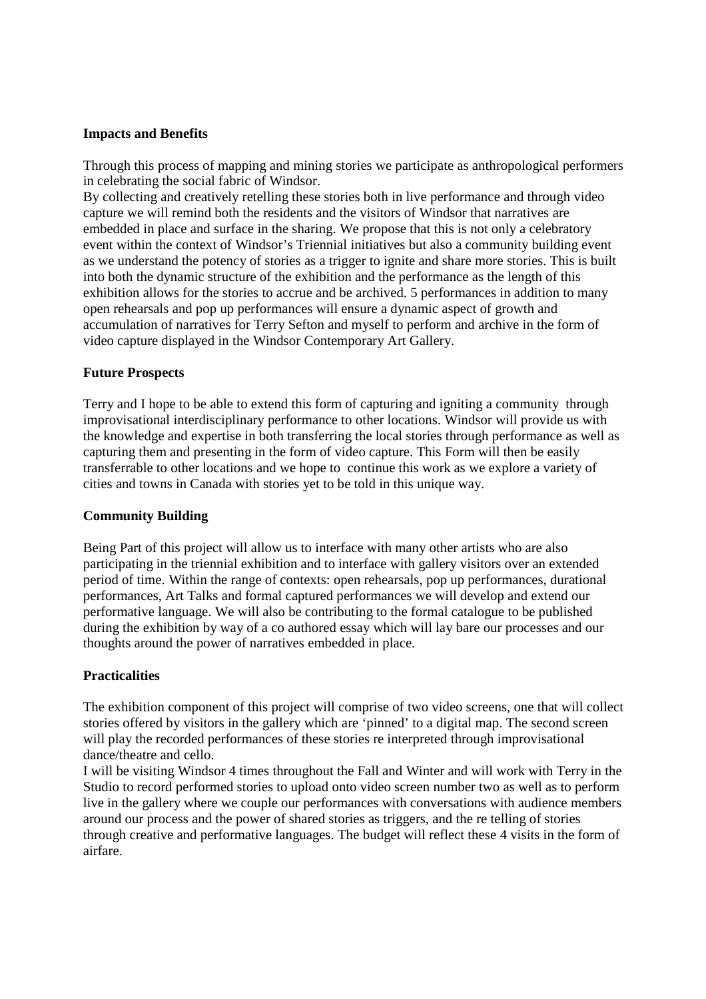# **Impacts and Benefits**

Through this process of mapping and mining stories we participate as anthropological performers in celebrating the social fabric of Windsor.

By collecting and creatively retelling these stories both in live performance and through video capture we will remind both the residents and the visitors of Windsor that narratives are embedded in place and surface in the sharing. We propose that this is not only a celebratory event within the context of Windsor's Triennial initiatives but also a community building event as we understand the potency of stories as a trigger to ignite and share more stories. This is built into both the dynamic structure of the exhibition and the performance as the length of this exhibition allows for the stories to accrue and be archived. 5 performances in addition to many open rehearsals and pop up performances will ensure a dynamic aspect of growth and accumulation of narratives for Terry Sefton and myself to perform and archive in the form of video capture displayed in the Windsor Contemporary Art Gallery.

# **Future Prospects**

Terry and I hope to be able to extend this form of capturing and igniting a community through improvisational interdisciplinary performance to other locations. Windsor will provide us with the knowledge and expertise in both transferring the local stories through performance as well as capturing them and presenting in the form of video capture. This Form will then be easily transferrable to other locations and we hope to continue this work as we explore a variety of cities and towns in Canada with stories yet to be told in this unique way.

#### **Community Building**

Being Part of this project will allow us to interface with many other artists who are also participating in the triennial exhibition and to interface with gallery visitors over an extended period of time. Within the range of contexts: open rehearsals, pop up performances, durational performances, Art Talks and formal captured performances we will develop and extend our performative language. We will also be contributing to the formal catalogue to be published during the exhibition by way of a co authored essay which will lay bare our processes and our thoughts around the power of narratives embedded in place.

# **Practicalities**

The exhibition component of this project will comprise of two video screens, one that will collect stories offered by visitors in the gallery which are 'pinned' to a digital map. The second screen will play the recorded performances of these stories re interpreted through improvisational dance/theatre and cello.

I will be visiting Windsor 4 times throughout the Fall and Winter and will work with Terry in the Studio to record performed stories to upload onto video screen number two as well as to perform live in the gallery where we couple our performances with conversations with audience members around our process and the power of shared stories as triggers, and the re telling of stories through creative and performative languages. The budget will reflect these 4 visits in the form of airfare.